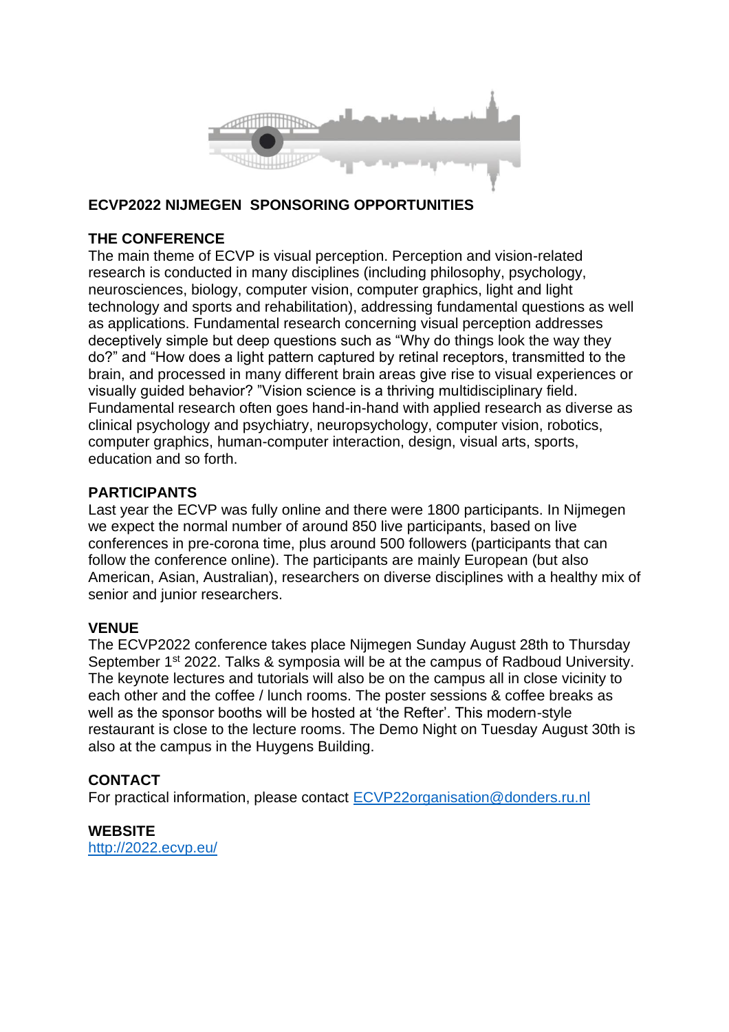

### **ECVP2022 NIJMEGEN SPONSORING OPPORTUNITIES**

### **THE CONFERENCE**

The main theme of ECVP is visual perception. Perception and vision-related research is conducted in many disciplines (including philosophy, psychology, neurosciences, biology, computer vision, computer graphics, light and light technology and sports and rehabilitation), addressing fundamental questions as well as applications. Fundamental research concerning visual perception addresses deceptively simple but deep questions such as "Why do things look the way they do?" and "How does a light pattern captured by retinal receptors, transmitted to the brain, and processed in many different brain areas give rise to visual experiences or visually guided behavior? "Vision science is a thriving multidisciplinary field. Fundamental research often goes hand-in-hand with applied research as diverse as clinical psychology and psychiatry, neuropsychology, computer vision, robotics, computer graphics, human-computer interaction, design, visual arts, sports, education and so forth.

#### **PARTICIPANTS**

Last year the ECVP was fully online and there were 1800 participants. In Nijmegen we expect the normal number of around 850 live participants, based on live conferences in pre-corona time, plus around 500 followers (participants that can follow the conference online). The participants are mainly European (but also American, Asian, Australian), researchers on diverse disciplines with a healthy mix of senior and junior researchers.

#### **VENUE**

The ECVP2022 conference takes place Nijmegen Sunday August 28th to Thursday September 1<sup>st</sup> 2022. Talks & symposia will be at the campus of Radboud University. The keynote lectures and tutorials will also be on the campus all in close vicinity to each other and the coffee / lunch rooms. The poster sessions & coffee breaks as well as the sponsor booths will be hosted at 'the Refter'. This modern-style restaurant is close to the lecture rooms. The Demo Night on Tuesday August 30th is also at the campus in the Huygens Building.

### **CONTACT**

For practical information, please contact [ECVP22organisation@donders.ru.nl](mailto:ECVP22organisation@donders.ru.nl)

**WEBSITE**

<http://2022.ecvp.eu/>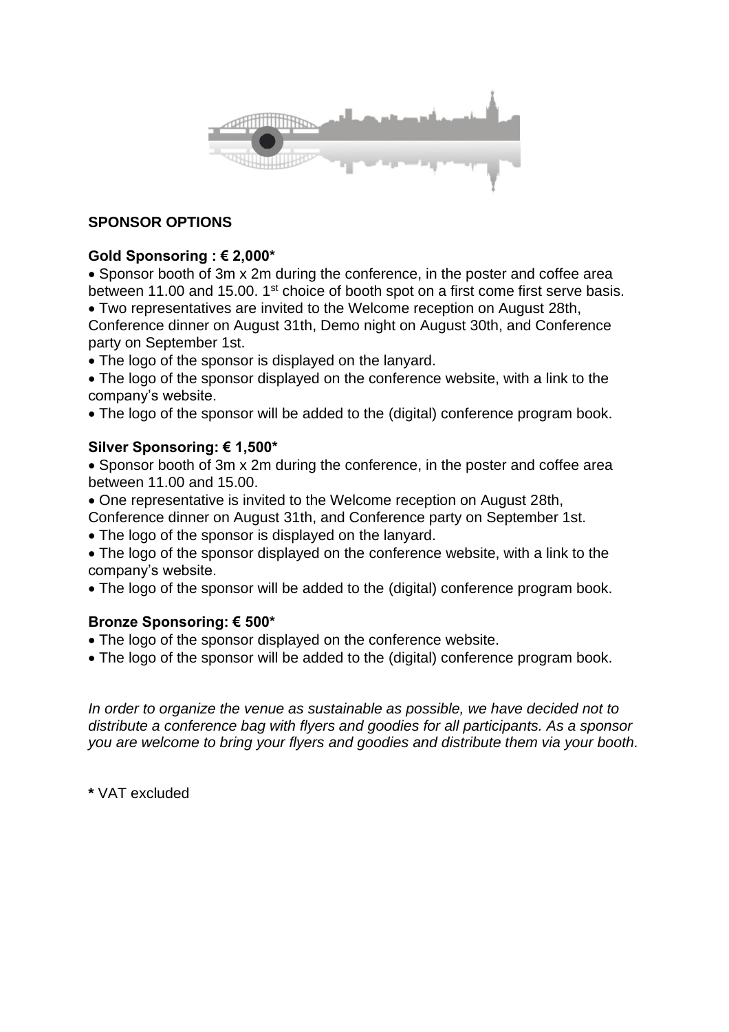

# **SPONSOR OPTIONS**

# **Gold Sponsoring : € 2,000\***

• Sponsor booth of 3m x 2m during the conference, in the poster and coffee area between 11.00 and 15.00. 1<sup>st</sup> choice of booth spot on a first come first serve basis. • Two representatives are invited to the Welcome reception on August 28th,

Conference dinner on August 31th, Demo night on August 30th, and Conference party on September 1st.

• The logo of the sponsor is displayed on the lanyard.

• The logo of the sponsor displayed on the conference website, with a link to the company's website.

• The logo of the sponsor will be added to the (digital) conference program book.

# **Silver Sponsoring: € 1,500\***

• Sponsor booth of 3m x 2m during the conference, in the poster and coffee area between 11.00 and 15.00.

- One representative is invited to the Welcome reception on August 28th,
- Conference dinner on August 31th, and Conference party on September 1st.

• The logo of the sponsor is displayed on the lanyard.

• The logo of the sponsor displayed on the conference website, with a link to the company's website.

• The logo of the sponsor will be added to the (digital) conference program book.

# **Bronze Sponsoring: € 500\***

- The logo of the sponsor displayed on the conference website.
- The logo of the sponsor will be added to the (digital) conference program book.

*In order to organize the venue as sustainable as possible, we have decided not to distribute a conference bag with flyers and goodies for all participants. As a sponsor you are welcome to bring your flyers and goodies and distribute them via your booth.*

**\*** VAT excluded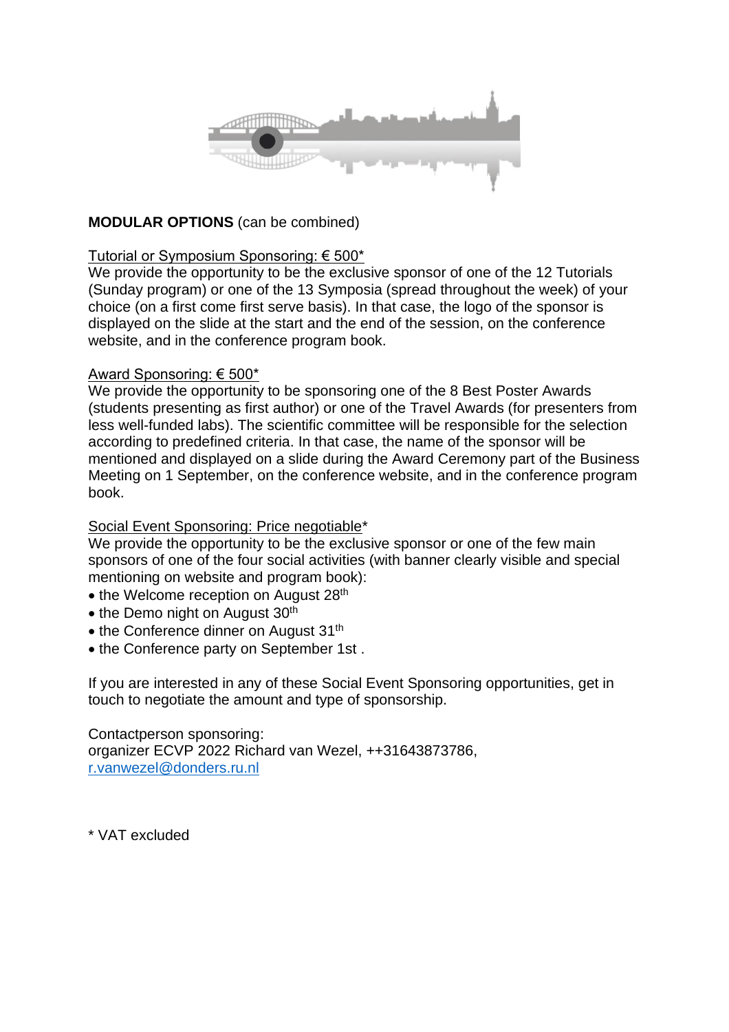

# **MODULAR OPTIONS** (can be combined)

#### Tutorial or Symposium Sponsoring: € 500\*

We provide the opportunity to be the exclusive sponsor of one of the 12 Tutorials (Sunday program) or one of the 13 Symposia (spread throughout the week) of your choice (on a first come first serve basis). In that case, the logo of the sponsor is displayed on the slide at the start and the end of the session, on the conference website, and in the conference program book.

#### Award Sponsoring: € 500\*

We provide the opportunity to be sponsoring one of the 8 Best Poster Awards (students presenting as first author) or one of the Travel Awards (for presenters from less well-funded labs). The scientific committee will be responsible for the selection according to predefined criteria. In that case, the name of the sponsor will be mentioned and displayed on a slide during the Award Ceremony part of the Business Meeting on 1 September, on the conference website, and in the conference program book.

### Social Event Sponsoring: Price negotiable\*

We provide the opportunity to be the exclusive sponsor or one of the few main sponsors of one of the four social activities (with banner clearly visible and special mentioning on website and program book):

- the Welcome reception on August 28<sup>th</sup>
- the Demo night on August 30<sup>th</sup>
- the Conference dinner on August 31<sup>th</sup>
- the Conference party on September 1st .

If you are interested in any of these Social Event Sponsoring opportunities, get in touch to negotiate the amount and type of sponsorship.

Contactperson sponsoring: organizer ECVP 2022 Richard van Wezel, ++31643873786, [r.vanwezel@donders.ru.nl](mailto:r.vanwezel@donders.ru.nl)

\* VAT excluded